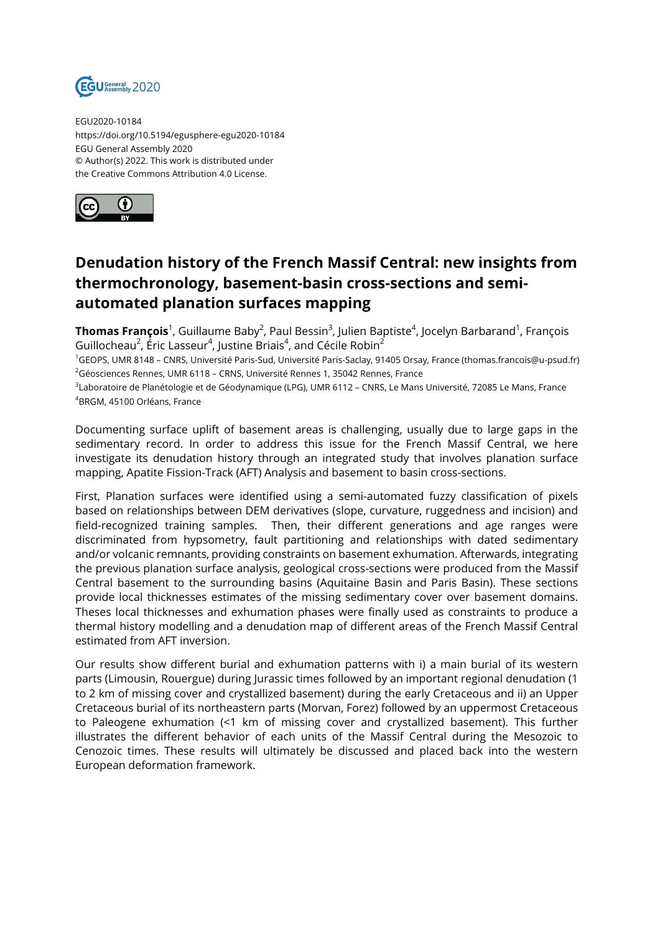

EGU2020-10184 https://doi.org/10.5194/egusphere-egu2020-10184 EGU General Assembly 2020 © Author(s) 2022. This work is distributed under the Creative Commons Attribution 4.0 License.



## **Denudation history of the French Massif Central: new insights from thermochronology, basement-basin cross-sections and semiautomated planation surfaces mapping**

**Thomas François**<sup>1</sup>, Guillaume Baby<sup>2</sup>, Paul Bessin<sup>3</sup>, Julien Baptiste<sup>4</sup>, Jocelyn Barbarand<sup>1</sup>, François Guillocheau $^2$ , Éric Lasseur $^4$ , Justine Briais $^4$ , and Cécile Robin $^2$ 

<sup>1</sup>GEOPS, UMR 8148 – CNRS, Université Paris-Sud, Université Paris-Saclay, 91405 Orsay, France (thomas.francois@u-psud.fr) <sup>2</sup>Géosciences Rennes, UMR 6118 – CRNS, Université Rennes 1, 35042 Rennes, France

3 Laboratoire de Planétologie et de Géodynamique (LPG), UMR 6112 – CNRS, Le Mans Université, 72085 Le Mans, France <sup>4</sup>BRGM, 45100 Orléans, France

Documenting surface uplift of basement areas is challenging, usually due to large gaps in the sedimentary record. In order to address this issue for the French Massif Central, we here investigate its denudation history through an integrated study that involves planation surface mapping, Apatite Fission-Track (AFT) Analysis and basement to basin cross-sections.

First, Planation surfaces were identified using a semi-automated fuzzy classification of pixels based on relationships between DEM derivatives (slope, curvature, ruggedness and incision) and field-recognized training samples. Then, their different generations and age ranges were discriminated from hypsometry, fault partitioning and relationships with dated sedimentary and/or volcanic remnants, providing constraints on basement exhumation. Afterwards, integrating the previous planation surface analysis, geological cross-sections were produced from the Massif Central basement to the surrounding basins (Aquitaine Basin and Paris Basin). These sections provide local thicknesses estimates of the missing sedimentary cover over basement domains. Theses local thicknesses and exhumation phases were finally used as constraints to produce a thermal history modelling and a denudation map of different areas of the French Massif Central estimated from AFT inversion.

Our results show different burial and exhumation patterns with i) a main burial of its western parts (Limousin, Rouergue) during Jurassic times followed by an important regional denudation (1 to 2 km of missing cover and crystallized basement) during the early Cretaceous and ii) an Upper Cretaceous burial of its northeastern parts (Morvan, Forez) followed by an uppermost Cretaceous to Paleogene exhumation (<1 km of missing cover and crystallized basement). This further illustrates the different behavior of each units of the Massif Central during the Mesozoic to Cenozoic times. These results will ultimately be discussed and placed back into the western European deformation framework.